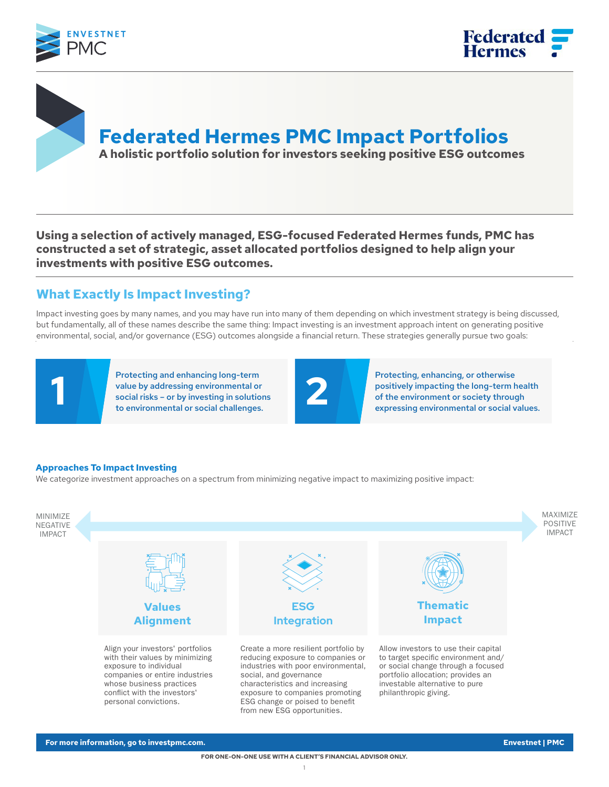



**Federated Hermes PMC Impact Portfolios A holistic portfolio solution for investors seeking positive ESG outcomes**

**Using a selection of actively managed, ESG-focused Federated Hermes funds, PMC has constructed a set of strategic, asset allocated portfolios designed to help align your investments with positive ESG outcomes.**

## **What Exactly Is Impact Investing?**

Impact investing goes by many names, and you may have run into many of them depending on which investment strategy is being discussed, but fundamentally, all of these names describe the same thing: Impact investing is an investment approach intent on generating positive environmental, social, and/or governance (ESG) outcomes alongside a financial return. These strategies generally pursue two goals:

Protecting and enhancing long-term value by addressing environmental or social risks – or by investing in solutions to environmental or social challenges.

Protecting, enhancing, or otherwise positively impacting the long-term health Protecting and enhancing long-term<br>value by addressing environmental or<br>to environmental or social challenges.<br>to environmental or social challenges.

#### **Approaches To Impact Investing**

We categorize investment approaches on a spectrum from minimizing negative impact to maximizing positive impact:

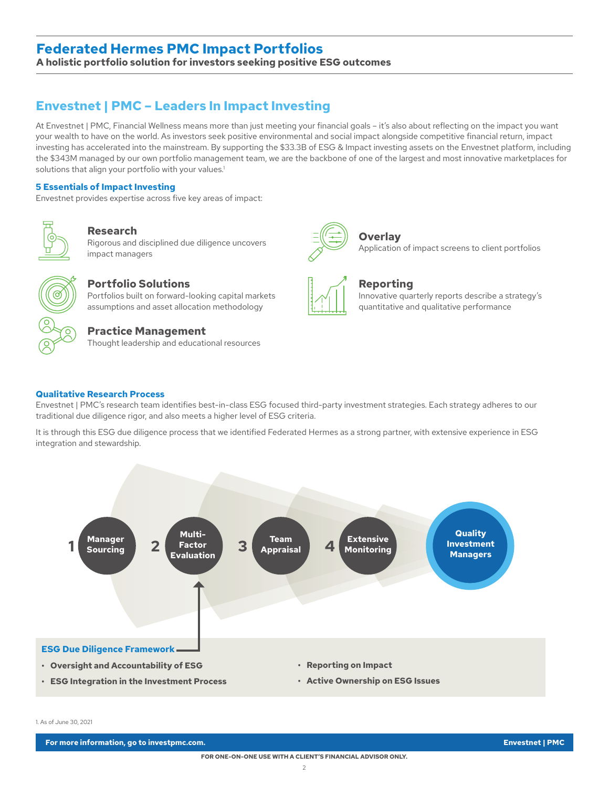### **Federated Hermes PMC Impact Portfolios**

**A holistic portfolio solution for investors seeking positive ESG outcomes**

## **Envestnet | PMC – Leaders In Impact Investing**

At Envestnet | PMC, Financial Wellness means more than just meeting your financial goals – it's also about reflecting on the impact you want your wealth to have on the world. As investors seek positive environmental and social impact alongside competitive financial return, impact investing has accelerated into the mainstream. By supporting the \$33.3B of ESG & Impact investing assets on the Envestnet platform, including the \$343M managed by our own portfolio management team, we are the backbone of one of the largest and most innovative marketplaces for solutions that align your portfolio with your values.<sup>1</sup>

#### **5 Essentials of Impact Investing**

Envestnet provides expertise across five key areas of impact:



**Research** Rigorous and disciplined due diligence uncovers

impact managers



### **Portfolio Solutions**

Portfolios built on forward-looking capital markets assumptions and asset allocation methodology

#### **Practice Management**

Thought leadership and educational resources



#### **Overlay** Application of impact screens to client portfolios



#### **Reporting**

Innovative quarterly reports describe a strategy's quantitative and qualitative performance

#### **Qualitative Research Process**

Envestnet | PMC's research team identifies best-in-class ESG focused third-party investment strategies. Each strategy adheres to our traditional due diligence rigor, and also meets a higher level of ESG criteria.

It is through this ESG due diligence process that we identified Federated Hermes as a strong partner, with extensive experience in ESG integration and stewardship.



1. As of June 30, 2021

**For more information, go to investpmc.com. Envestnet | PMC**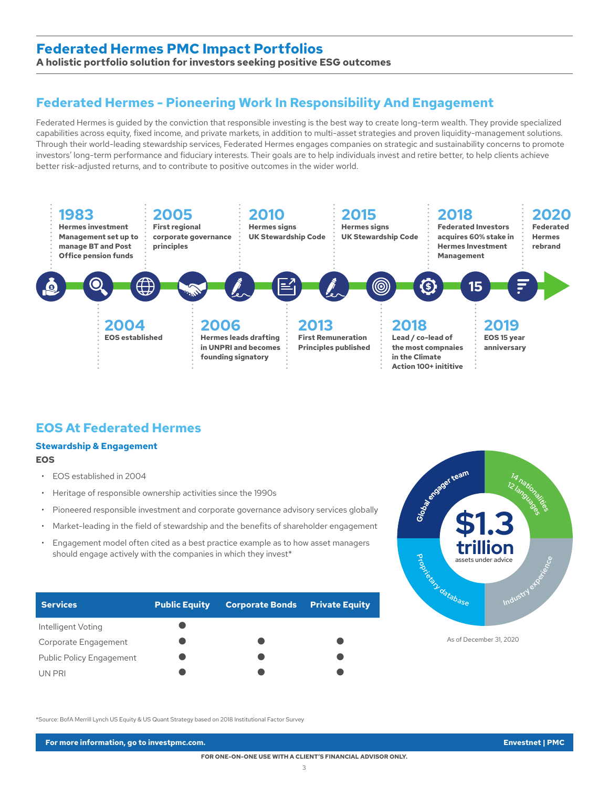### **Federated Hermes PMC Impact Portfolios**

**A holistic portfolio solution for investors seeking positive ESG outcomes**

## **Federated Hermes - Pioneering Work In Responsibility And Engagement**

Federated Hermes is guided by the conviction that responsible investing is the best way to create long-term wealth. They provide specialized capabilities across equity, fixed income, and private markets, in addition to multi-asset strategies and proven liquidity-management solutions. Through their world-leading stewardship services, Federated Hermes engages companies on strategic and sustainability concerns to promote investors' long-term performance and fiduciary interests. Their goals are to help individuals invest and retire better, to help clients achieve better risk-adjusted returns, and to contribute to positive outcomes in the wider world.



## **EOS At Federated Hermes**

#### **Stewardship & Engagement EOS**

- EOS established in 2004
- Heritage of responsible ownership activities since the 1990s
- Pioneered responsible investment and corporate governance advisory services globally
- Market-leading in the field of stewardship and the benefits of shareholder engagement
- Engagement model often cited as a best practice example as to how asset managers should engage actively with the companies in which they invest\*

| <b>Services</b>                 | <b>Public Equity</b> | <b>Corporate Bonds</b> | <b>Private Equity</b> |
|---------------------------------|----------------------|------------------------|-----------------------|
| Intelligent Voting              |                      |                        |                       |
| Corporate Engagement            |                      |                        |                       |
| <b>Public Policy Engagement</b> |                      |                        |                       |
| UN PRI                          |                      |                        |                       |



As of December 31, 2020

\*Source: BofA Merrill Lynch US Equity & US Quant Strategy based on 2018 Institutional Factor Survey